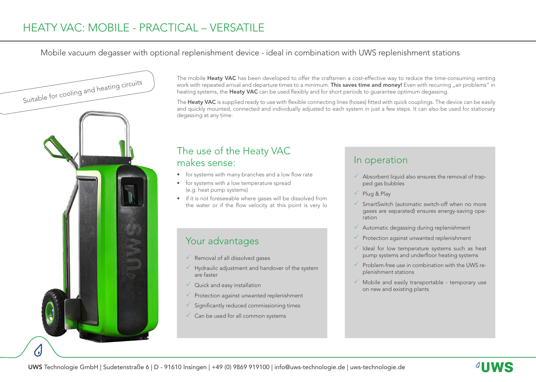#### Mobile vacuum degasser with optional replenishment device - ideal in combination with UWS replenishment stations



The mobile Heaty VAC has been developed to offer the craftsmen a cost-effective way to reduce the time-consuming venting work with repeated arrival and departure times to a minimum. This saves time and money! Even with recurring "air problems" in heating systems, the Heaty VAC can be used flexibly and for short periods to quarantee optimum degassing.

The Heaty VAC is supplied ready to use with flexible connecting lines (hoses) fitted with quick couplings. The device can be easily and quickly mounted, connected and individually adjusted to each system in just a few steps. It can also be used for stationary degassing at any time.

### The use of the Heaty VAC makes sense:

- for systems with many branches and a low flow rate
- for systems with a low temperature spread (e.g. heat pump systems)
- if it is not foreseeable where gases will be dissolved from the water or if the flow velocity at this point is very lo

## Your advantages

- $\sqrt{\ }$  Removal of all dissolved gases
- $\checkmark$  Hydraulic adjustment and handover of the system are faster
- $\sqrt{\phantom{a}}$  Quick and easy installation
- $\sqrt{ }$  Protection against unwanted replenishment
- $\checkmark$  Significantly reduced commissioning times
- $\checkmark$  Can be used for all common systems

### In operation

- $\checkmark$  Absorbent liquid also ensures the removal of trapped gas bubbles
- $\checkmark$  Plug & Play
- $\checkmark$  SmartSwitch (automatic switch-off when no more gases are separated) ensures energy-saving operation
- $\sqrt{ }$  Automatic degassing during replenishment
- $\sqrt{ }$  Protection against unwanted replenishment
- $\checkmark$  Ideal for low temperature systems such as heat pump systems and underfloor heating systems
- $\checkmark$  Problem-free use in combination with the UWS replenishment stations
- $\checkmark$  Mobile and easily transportable temporary use on new and existing plants